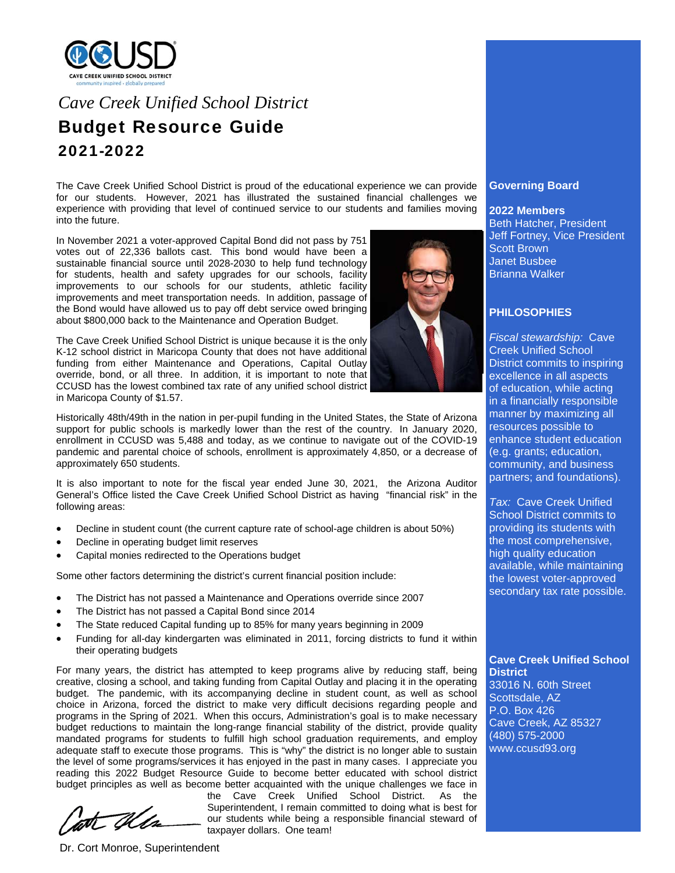

# *Cave Creek Unified School District*  Budget Resource Guide 2021-2022

The Cave Creek Unified School District is proud of the educational experience we can provide for our students. However, 2021 has illustrated the sustained financial challenges we experience with providing that level of continued service to our students and families moving into the future.

In November 2021 a voter-approved Capital Bond did not pass by 751 votes out of 22,336 ballots cast. This bond would have been a sustainable financial source until 2028-2030 to help fund technology for students, health and safety upgrades for our schools, facility improvements to our schools for our students, athletic facility improvements and meet transportation needs. In addition, passage of the Bond would have allowed us to pay off debt service owed bringing about \$800,000 back to the Maintenance and Operation Budget.

The Cave Creek Unified School District is unique because it is the only K-12 school district in Maricopa County that does not have additional funding from either Maintenance and Operations, Capital Outlay override, bond, or all three. In addition, it is important to note that CCUSD has the lowest combined tax rate of any unified school district in Maricopa County of \$1.57.



Historically 48th/49th in the nation in per-pupil funding in the United States, the State of Arizona support for public schools is markedly lower than the rest of the country. In January 2020, enrollment in CCUSD was 5,488 and today, as we continue to navigate out of the COVID-19 pandemic and parental choice of schools, enrollment is approximately 4,850, or a decrease of approximately 650 students.

It is also important to note for the fiscal year ended June 30, 2021, the Arizona Auditor General's Office listed the Cave Creek Unified School District as having "financial risk" in the following areas:

- Decline in student count (the current capture rate of school-age children is about 50%)
- Decline in operating budget limit reserves
- Capital monies redirected to the Operations budget

Some other factors determining the district's current financial position include:

- The District has not passed a Maintenance and Operations override since 2007
- The District has not passed a Capital Bond since 2014
- The State reduced Capital funding up to 85% for many years beginning in 2009
- Funding for all-day kindergarten was eliminated in 2011, forcing districts to fund it within their operating budgets

For many years, the district has attempted to keep programs alive by reducing staff, being creative, closing a school, and taking funding from Capital Outlay and placing it in the operating budget. The pandemic, with its accompanying decline in student count, as well as school choice in Arizona, forced the district to make very difficult decisions regarding people and programs in the Spring of 2021. When this occurs, Administration's goal is to make necessary budget reductions to maintain the long-range financial stability of the district, provide quality mandated programs for students to fulfill high school graduation requirements, and employ adequate staff to execute those programs. This is "why" the district is no longer able to sustain the level of some programs/services it has enjoyed in the past in many cases. I appreciate you reading this 2022 Budget Resource Guide to become better educated with school district budget principles as well as become better acquainted with the unique challenges we face in

the Cave Creek Unified School District. As the Superintendent, I remain committed to doing what is best for our students while being a responsible financial steward of taxpayer dollars. One team!

# **Governing Board**

#### **2022 Members**

Beth Hatcher, President Jeff Fortney, Vice President Scott Brown Janet Busbee Brianna Walker

## **PHILOSOPHIES**

*Fiscal stewardship:* Cave Creek Unified School District commits to inspiring excellence in all aspects of education, while acting in a financially responsible manner by maximizing all resources possible to enhance student education (e.g. grants; education, community, and business partners; and foundations).

*Tax:* Cave Creek Unified School District commits to providing its students with the most comprehensive, high quality education available, while maintaining the lowest voter-approved secondary tax rate possible.

**Cave Creek Unified School District**  33016 N. 60th Street Scottsdale, AZ

P.O. Box 426 Cave Creek, AZ 85327 (480) 575-2000 www.ccusd93.org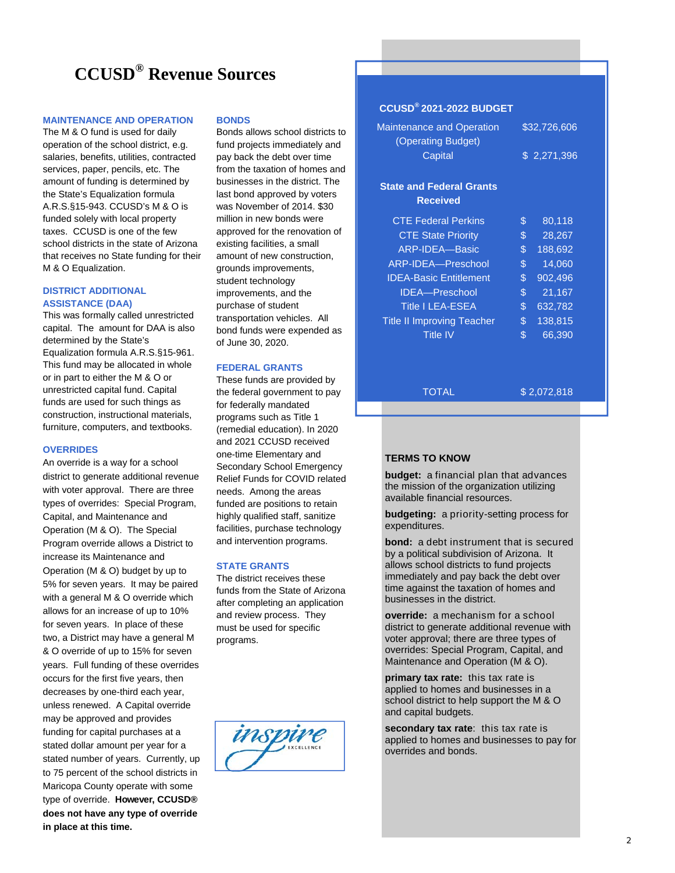# **CCUSD® Revenue Sources**

#### **MAINTENANCE AND OPERATION**

The M & O fund is used for daily operation of the school district, e.g. salaries, benefits, utilities, contracted services, paper, pencils, etc. The amount of funding is determined by the State's Equalization formula A.R.S.§15-943. CCUSD's M & O is funded solely with local property taxes. CCUSD is one of the few school districts in the state of Arizona that receives no State funding for their M & O Equalization.

## **DISTRICT ADDITIONAL ASSISTANCE (DAA)**

This was formally called unrestricted capital. The amount for DAA is also determined by the State's Equalization formula A.R.S.§15-961. This fund may be allocated in whole or in part to either the M & O or unrestricted capital fund. Capital funds are used for such things as construction, instructional materials, furniture, computers, and textbooks.

#### **OVERRIDES**

An override is a way for a school district to generate additional revenue with voter approval. There are three types of overrides: Special Program, Capital, and Maintenance and Operation (M & O). The Special Program override allows a District to increase its Maintenance and Operation (M & O) budget by up to 5% for seven years. It may be paired with a general M & O override which allows for an increase of up to 10% for seven years. In place of these two, a District may have a general M & O override of up to 15% for seven years. Full funding of these overrides occurs for the first five years, then decreases by one-third each year, unless renewed. A Capital override may be approved and provides funding for capital purchases at a stated dollar amount per year for a stated number of years. Currently, up to 75 percent of the school districts in Maricopa County operate with some type of override. **However, CCUSD® does not have any type of override in place at this time.**

#### **BONDS**

Bonds allows school districts to fund projects immediately and pay back the debt over time from the taxation of homes and businesses in the district. The last bond approved by voters was November of 2014. \$30 million in new bonds were approved for the renovation of existing facilities, a small amount of new construction, grounds improvements, student technology improvements, and the purchase of student transportation vehicles. All bond funds were expended as of June 30, 2020.

#### **FEDERAL GRANTS**

These funds are provided by the federal government to pay for federally mandated programs such as Title 1 (remedial education). In 2020 and 2021 CCUSD received one-time Elementary and Secondary School Emergency Relief Funds for COVID related needs. Among the areas funded are positions to retain highly qualified staff, sanitize facilities, purchase technology and intervention programs.

#### **STATE GRANTS**

The district receives these funds from the State of Arizona after completing an application and review process. They must be used for specific programs.



# **CCUSD® 2021-2022 BUDGET**

| <b>Maintenance and Operation</b><br>(Operating Budget)<br>Capital | \$32,726,606<br>\$2,271,396 |  |
|-------------------------------------------------------------------|-----------------------------|--|
| <b>State and Federal Grants</b><br><b>Received</b>                |                             |  |
| <b>CTE Federal Perkins</b>                                        | \$<br>80,118                |  |
| <b>CTE</b> State Priority                                         | \$<br>28,267                |  |
| ARP-IDEA-Basic                                                    | \$<br>188,692               |  |
| ARP-IDEA-Preschool                                                | \$<br>14.060                |  |
| <b>IDEA-Basic Entitlement</b>                                     | \$<br>902,496               |  |
| <b>IDEA</b> -Preschool                                            | \$<br>21,167                |  |
| <b>Title I LEA-ESEA</b>                                           | \$<br>632,782               |  |
| <b>Title II Improving Teacher</b>                                 | \$<br>138,815               |  |
| Title IV                                                          | \$<br>66,390                |  |

#### TOTAL

\$ 2,072,818

#### **TERMS TO KNOW**

**budget:** a financial plan that advances the mission of the organization utilizing available financial resources.

**budgeting:** a priority-setting process for expenditures.

**bond:** a debt instrument that is secured by a political subdivision of Arizona. It allows school districts to fund projects immediately and pay back the debt over time against the taxation of homes and businesses in the district.

**override:** a mechanism for a school district to generate additional revenue with voter approval; there are three types of overrides: Special Program, Capital, and Maintenance and Operation (M & O).

**primary tax rate:** this tax rate is applied to homes and businesses in a school district to help support the M & O and capital budgets.

**secondary tax rate**: this tax rate is applied to homes and businesses to pay for overrides and bonds.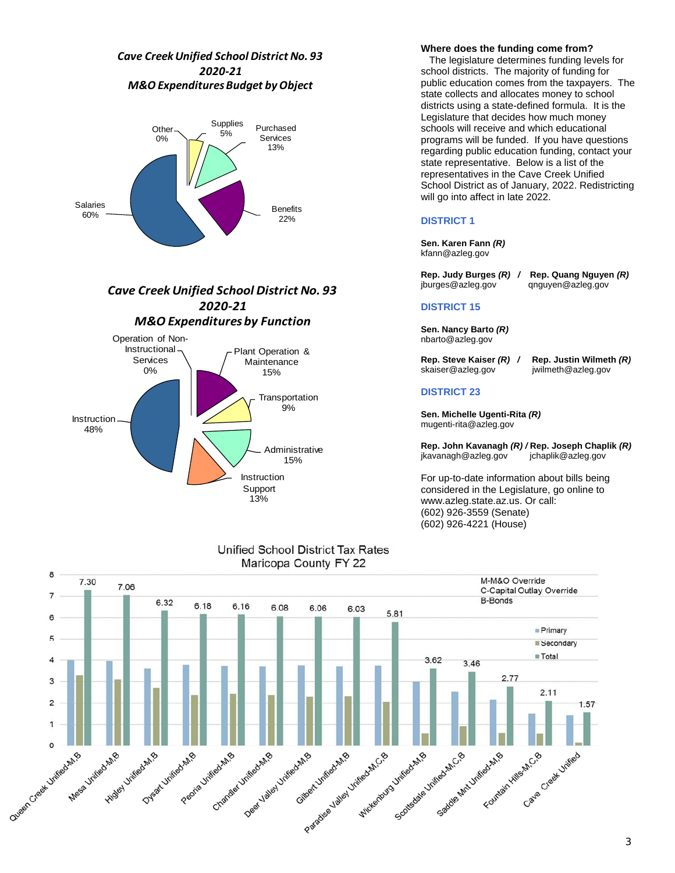# *Cave CreekUnified School District No. 93 2020‐21 M&O ExpendituresBudget byObject*



# *Cave CreekUnified School District No. 93 2020‐21 M&O Expenditures by Function*



# Unified School District Tax Rates

#### **Where does the funding come from?**

 The legislature determines funding levels for school districts. The majority of funding for public education comes from the taxpayers. The state collects and allocates money to school districts using a state-defined formula. It is the Legislature that decides how much money schools will receive and which educational programs will be funded. If you have questions regarding public education funding, contact your state representative. Below is a list of the representatives in the Cave Creek Unified School District as of January, 2022. Redistricting will go into affect in late 2022.

## **DISTRICT 1**

**Sen. Karen Fann** *(R)* kfann@azleg.gov

**Rep. Judy Burges** *(R) /* **Rep. Quang Nguyen** *(R)* qnguyen@azleg.gov

#### **DISTRICT 15**

**Sen. Nancy Barto** *(R)*  nbarto@azleg.gov

#### **Rep. Steve Kaiser** *(R) /* **Rep. Justin Wilmeth** *(R)* jwilmeth@azleg.gov

## **DISTRICT 23**

**Sen. Michelle Ugenti-Rita** *(R)* mugenti-rita@azleg.gov

**Rep. John Kavanagh** *(R) /* **Rep. Joseph Chaplik** *(R)* jkavanagh@azleg.gov

For up-to-date information about bills being considered in the Legislature, go online to www.azleg.state.az.us. Or call: (602) 926-3559 (Senate) (602) 926-4221 (House)